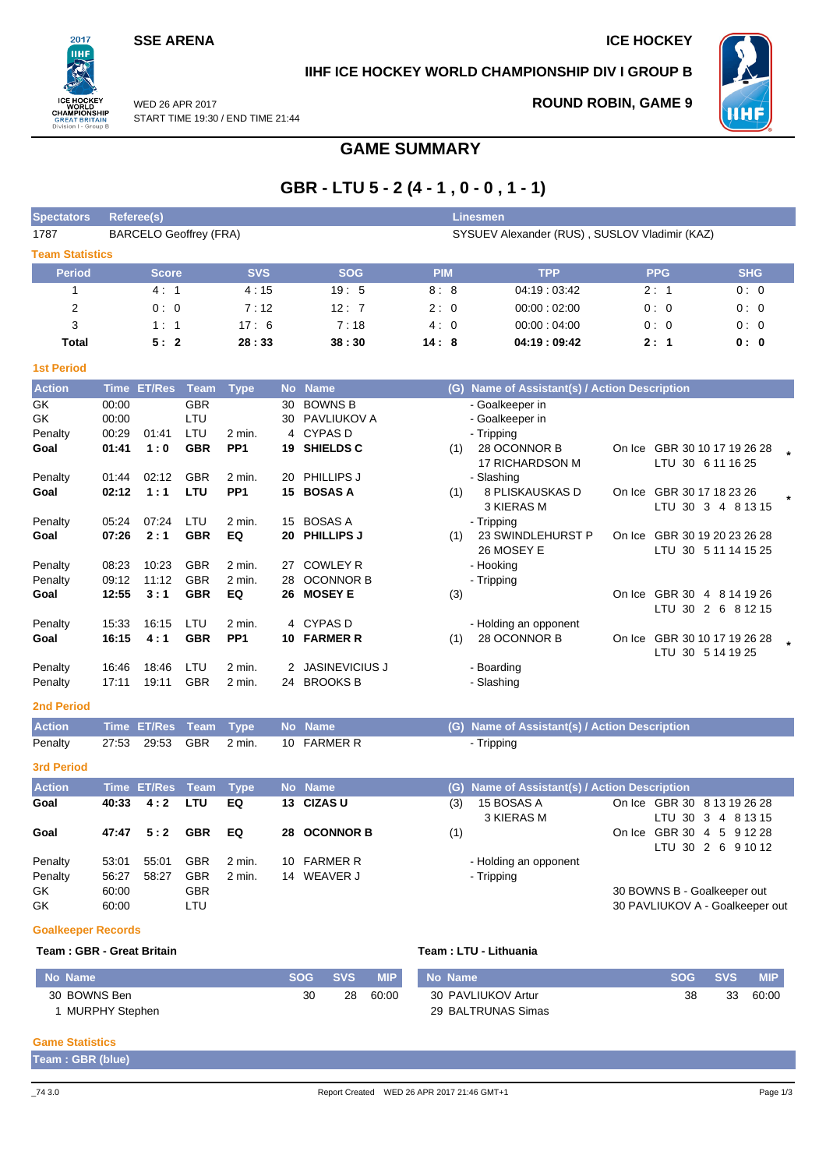## **SSE ARENA ICE HOCKEY**

 $2017$ пні

## **IIHF ICE HOCKEY WORLD CHAMPIONSHIP DIV I GROUP B**



**ROUND ROBIN, GAME 9**

WED 26 APR 2017 START TIME 19:30 / END TIME 21:44

# **GAME SUMMARY**

# **GBR - LTU 5 - 2 (4 - 1 , 0 - 0 , 1 - 1)**

| <b>Spectators</b>      | Referee(s)                    |            |            | <b>Linesmen</b> |                                               |            |            |
|------------------------|-------------------------------|------------|------------|-----------------|-----------------------------------------------|------------|------------|
| 1787                   | <b>BARCELO Geoffrey (FRA)</b> |            |            |                 | SYSUEV Alexander (RUS), SUSLOV Vladimir (KAZ) |            |            |
| <b>Team Statistics</b> |                               |            |            |                 |                                               |            |            |
| <b>Period</b>          | <b>Score</b>                  | <b>SVS</b> | <b>SOG</b> | <b>PIM</b>      | <b>TPP</b>                                    | <b>PPG</b> | <b>SHG</b> |
|                        | 4:1                           | 4:15       | 19:5       | 8:8             | 04:19:03:42                                   | 2:1        | 0:0        |
| 2                      | 0:0                           | 7:12       | 12:7       | 2:0             | 00:00:02:00                                   | 0:0        | 0:0        |
| 3                      | 1:1                           | 17:6       | 7:18       | 4:0             | 00:00:04:00                                   | 0:0        | 0:0        |
| Total                  | 5:2                           | 28:33      | 38:30      | 14:8            | 04:19:09:42                                   | 2:1        | 0: 0       |

| <b>1st Period</b>  |                |                |                          |                             |          |                                          |     |                                                      |        |                                                          |         |
|--------------------|----------------|----------------|--------------------------|-----------------------------|----------|------------------------------------------|-----|------------------------------------------------------|--------|----------------------------------------------------------|---------|
| <b>Action</b>      | <b>Time</b>    | <b>ET/Res</b>  | <b>Team</b>              | <b>Type</b>                 |          | No Name                                  | (G) | Name of Assistant(s) / Action Description            |        |                                                          |         |
| GK<br>GK.          | 00:00<br>00:00 |                | <b>GBR</b><br>LTU        |                             | 30<br>30 | <b>BOWNS B</b><br>PAVLIUKOV A            |     | - Goalkeeper in<br>- Goalkeeper in                   |        |                                                          |         |
| Penalty<br>Goal    | 00:29<br>01:41 | 01:41<br>1:0   | LTU<br><b>GBR</b>        | 2 min.<br>PP <sub>1</sub>   | 4<br>19  | <b>CYPASD</b><br><b>SHIELDS C</b>        | (1) | - Tripping<br>28 OCONNOR B<br><b>17 RICHARDSON M</b> |        | On Ice GBR 30 10 17 19 26 28<br>LTU 30 6 11 16 25        |         |
| Penalty<br>Goal    | 01:44<br>02:12 | 02:12<br>1:1   | <b>GBR</b><br>LTU        | 2 min.<br>PP <sub>1</sub>   | 20<br>15 | <b>PHILLIPS J</b><br><b>BOSAS A</b>      | (1) | - Slashing<br>8 PLISKAUSKAS D<br>3 KIERAS M          | On Ice | GBR 30 17 18 23 26<br>LTU 30 3 4 8 13 15                 | $\star$ |
| Penalty<br>Goal    | 05:24<br>07:26 | 07:24<br>2:1   | LTU<br><b>GBR</b>        | 2 min.<br>EQ                | 15<br>20 | <b>BOSAS A</b><br><b>PHILLIPS J</b>      | (1) | - Tripping<br>23 SWINDLEHURST P<br>26 MOSEY E        | On Ice | GBR 30 19 20 23 26 28<br>LTU 30 5 11 14 15 25            |         |
| Penalty<br>Penalty | 08:23<br>09:12 | 10:23<br>11:12 | <b>GBR</b><br><b>GBR</b> | $2$ min.<br>2 min.          | 27<br>28 | <b>COWLEY R</b><br><b>OCONNOR B</b>      |     | - Hooking<br>- Tripping                              |        |                                                          |         |
| Goal               | 12:55          | 3:1            | <b>GBR</b>               | EQ                          | 26       | <b>MOSEY E</b>                           | (3) |                                                      |        | On Ice GBR 30<br>4 8 14 19 26<br>2 6 8 1 2 1 5<br>LTU 30 |         |
| Penalty<br>Goal    | 15:33<br>16:15 | 16:15<br>4:1   | LTU<br><b>GBR</b>        | $2$ min.<br>PP <sub>1</sub> | 10       | 4 CYPAS D<br><b>FARMER R</b>             | (1) | - Holding an opponent<br>28 OCONNOR B                | On Ice | GBR 30 10 17 19 26 28<br>LTU 30 5 14 19 25               |         |
| Penalty<br>Penalty | 16:46<br>17:11 | 18:46<br>19:11 | LTU<br><b>GBR</b>        | 2 min.<br>2 min.            | 24       | <b>JASINEVICIUS J</b><br><b>BROOKS B</b> |     | - Boarding<br>- Slashing                             |        |                                                          |         |

## **2nd Period**

| <b>Action</b> |  | Time ET/Res Team Type No Name |                                           | (G) Name of Assistant(s) / Action Description |
|---------------|--|-------------------------------|-------------------------------------------|-----------------------------------------------|
| Penalty       |  |                               | 27:53  29:53  GBR  2  min.  10  FARMER  R | - Tripping                                    |

**3rd Period**

| <b>Action</b> |       | Time ET/Res Team Type |            |        | No Name      | (G) Name of Assistant(s) / Action Description |                                 |
|---------------|-------|-----------------------|------------|--------|--------------|-----------------------------------------------|---------------------------------|
| Goal          | 40:33 | 4:2                   | LTU        | EQ     | 13 CIZAS U   | 15 BOSAS A<br>(3)                             | On Ice GBR 30 8 13 19 26 28     |
|               |       |                       |            |        |              | 3 KIERAS M                                    | LTU 30 3 4 8 13 15              |
| Goal          | 47:47 | 5:2                   | <b>GBR</b> | EQ.    | 28 OCONNOR B | (1)                                           | GBR 30 4 5 9 12 28<br>On Ice    |
|               |       |                       |            |        |              |                                               | LTU 30 2 6 9 10 12              |
| Penalty       | 53:01 | 55:01                 | <b>GBR</b> | 2 min. | 10 FARMER R  | - Holding an opponent                         |                                 |
| Penalty       | 56:27 | 58:27                 | <b>GBR</b> | 2 min. | 14 WEAVER J  | - Tripping                                    |                                 |
| GK            | 60:00 |                       | <b>GBR</b> |        |              |                                               | 30 BOWNS B - Goalkeeper out     |
| GK            | 60:00 |                       | LTU        |        |              |                                               | 30 PAVLIUKOV A - Goalkeeper out |

#### **Goalkeeper Records**

#### **Team : GBR - Great Britain Team : LTU - Lithuania**

| No Name        | <b>SOG</b> | <b>SVS</b> | <b>MIP</b> | <b>No Name</b>     | <b>SOG</b> | <b>SVS</b> | <b>MIP</b> |
|----------------|------------|------------|------------|--------------------|------------|------------|------------|
| 30 BOWNS Ben   | 30         | 28         | 60:00      | 30 PAVLIUKOV Artur | 38         | 33         | 60:00      |
| MURPHY Stephen |            |            |            | 29 BALTRUNAS Simas |            |            |            |

### **Game Statistics**

| Team: GBR (blue) |  |  |
|------------------|--|--|
|------------------|--|--|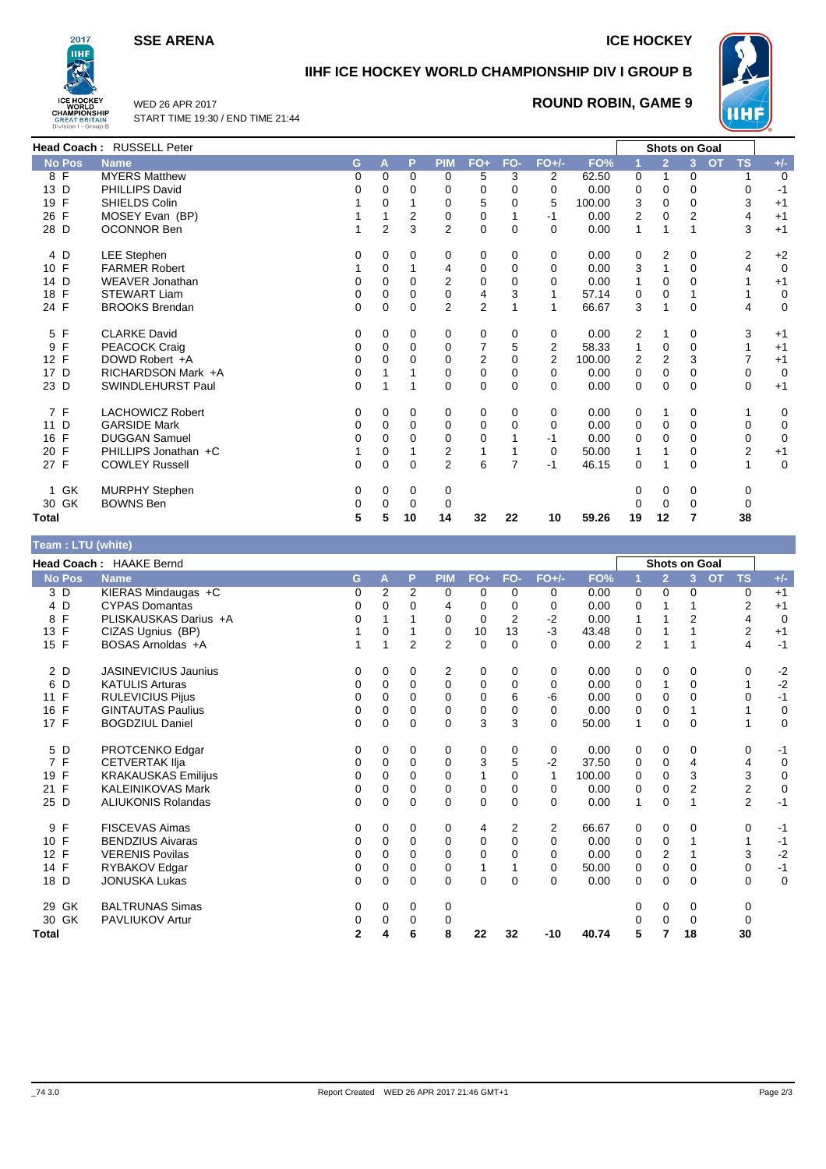**SSE ARENA ICE HOCKEY** 



# **IIHF ICE HOCKEY WORLD CHAMPIONSHIP DIV I GROUP B**



WED 26 APR 2017 START TIME 19:30 / END TIME 21:44

## **ROUND ROBIN, GAME 9**

|                   | Head Coach: RUSSELL Peter |          |                |             |                |                |             |          |        |    | <b>Shots on Goal</b> |                |                        |             |
|-------------------|---------------------------|----------|----------------|-------------|----------------|----------------|-------------|----------|--------|----|----------------------|----------------|------------------------|-------------|
| <b>No Pos</b>     | <b>Name</b>               | G        | A              | P           | <b>PIM</b>     | $FO+$          | FO-         | $FO+/-$  | FO%    |    | $\overline{2}$       | $\overline{3}$ | <b>TS</b><br><b>OT</b> | $+/-$       |
| 8 F               | <b>MYERS Matthew</b>      | 0        | 0              | 0           | 0              | 5              | 3           | 2        | 62.50  | 0  | 1                    | 0              | 1                      | $\Omega$    |
| 13 D              | <b>PHILLIPS David</b>     | 0        | 0              | 0           | 0              | 0              | 0           | $\Omega$ | 0.00   | 0  | 0                    | 0              | 0                      | -1          |
| 19 F              | SHIELDS Colin             |          | 0              |             | 0              | 5              | 0           | 5        | 100.00 | 3  | 0                    | 0              | 3                      | $+1$        |
| 26 F              | MOSEY Evan (BP)           |          |                | 2           | 0              | 0              |             | -1       | 0.00   | 2  | 0                    | 2              | 4                      | $+1$        |
| 28 D              | <b>OCONNOR Ben</b>        |          | $\overline{2}$ | 3           | $\overline{2}$ | 0              | 0           | $\Omega$ | 0.00   | 1  | 1                    |                | 3                      | $+1$        |
| 4 D               | <b>LEE Stephen</b>        | 0        | 0              | 0           | 0              | 0              | 0           | 0        | 0.00   | 0  | 2                    | 0              | 2                      | $+2$        |
| 10 F              | <b>FARMER Robert</b>      |          | 0              |             | 4              | 0              | $\mathbf 0$ | 0        | 0.00   | 3  | 1                    | $\Omega$       | $\overline{4}$         | $\mathbf 0$ |
| 14 D              | <b>WEAVER Jonathan</b>    | 0        | 0              | 0           | 2              | 0              | 0           | 0        | 0.00   |    | 0                    | <sup>0</sup>   | 1                      | $+1$        |
| 18 F              | <b>STEWART Liam</b>       | 0        | 0              | 0           | $\mathbf 0$    | 4              | 3           |          | 57.14  | 0  | 0                    |                |                        | $\mathbf 0$ |
| 24 F              | <b>BROOKS Brendan</b>     | $\Omega$ | 0              | $\Omega$    | 2              | $\overline{2}$ |             |          | 66.67  | 3  | 1                    | $\Omega$       | 4                      | 0           |
| 5 F               | <b>CLARKE David</b>       | 0        | 0              | 0           | 0              | 0              | 0           | 0        | 0.00   | 2  |                      | 0              | 3                      | $+1$        |
| $\mathsf{F}$<br>9 | PEACOCK Craig             | 0        | 0              | $\Omega$    | 0              | 7              | 5           | 2        | 58.33  |    | 0                    | $\Omega$       | 1                      | $+1$        |
| 12 F              | DOWD Robert +A            | 0        | 0              | 0           | 0              | 2              | 0           | 2        | 100.00 | 2  | $\overline{2}$       | 3              | 7                      | $+1$        |
| 17 D              | RICHARDSON Mark +A        | 0        |                |             | 0              | 0              | $\Omega$    | $\Omega$ | 0.00   | 0  | 0                    | $\Omega$       | 0                      | $\mathbf 0$ |
| 23 D              | SWINDLEHURST Paul         | 0        |                | 1           | 0              | 0              | 0           | $\Omega$ | 0.00   | 0  | 0                    | 0              | 0                      | $+1$        |
| 7 F               | <b>LACHOWICZ Robert</b>   | 0        | 0              | $\mathbf 0$ | 0              | 0              | 0           | 0        | 0.00   | 0  |                      | 0              |                        | 0           |
| 11 D              | <b>GARSIDE Mark</b>       | 0        | 0              | $\Omega$    | 0              | $\mathbf 0$    | 0           | $\Omega$ | 0.00   | 0  | 0                    | $\Omega$       | 0                      | 0           |
| 16 F              | <b>DUGGAN Samuel</b>      | 0        | 0              | 0           | 0              | 0              |             | -1       | 0.00   | 0  | 0                    | $\Omega$       | 0                      | $\mathbf 0$ |
| 20 F              | PHILLIPS Jonathan +C      |          | 0              |             | 2              |                |             | 0        | 50.00  |    |                      | 0              | $\overline{2}$         | $+1$        |
| 27 F              | <b>COWLEY Russell</b>     | 0        | 0              | 0           | $\overline{2}$ | 6              | 7           | -1       | 46.15  | 0  | 1                    | $\Omega$       | $\mathbf{1}$           | $\mathbf 0$ |
| GK<br>1           | <b>MURPHY Stephen</b>     | 0        | 0              | 0           | 0              |                |             |          |        | 0  | 0                    | 0              | 0                      |             |
| 30 GK             | <b>BOWNS Ben</b>          | 0        | 0              | 0           | 0              |                |             |          |        | 0  | 0                    | $\Omega$       | 0                      |             |
| <b>Total</b>      |                           | 5        | 5              | 10          | 14             | 32             | 22          | 10       | 59.26  | 19 | 12                   |                | 38                     |             |

## **Team : LTU (white)**

|                      | <b>Head Coach: HAAKE Bernd</b> |                |          |                |                |       |                |              |        |                |                | <b>Shots on Goal</b> |                         |             |
|----------------------|--------------------------------|----------------|----------|----------------|----------------|-------|----------------|--------------|--------|----------------|----------------|----------------------|-------------------------|-------------|
| <b>No Pos</b>        | <b>Name</b>                    | G              | А        | P              | <b>PIM</b>     | $FO+$ | FO-            | $FO+/-$      | FO%    |                | $\overline{2}$ | 3 <sup>1</sup>       | <b>OT</b><br><b>TS</b>  | $+/-$       |
| 3 D                  | KIERAS Mindaugas +C            | 0              | 2        | 2              | 0              | 0     | 0              | 0            | 0.00   | 0              | 0              | 0                    | 0                       | $+1$        |
| 4 D                  | <b>CYPAS Domantas</b>          | 0              | 0        | 0              | 4              | 0     | 0              | 0            | 0.00   | 0              |                |                      | $\overline{\mathbf{c}}$ | $+1$        |
| F<br>8               | PLISKAUSKAS Darius +A          | 0              |          |                | 0              | 0     | $\overline{2}$ | $-2$         | 0.00   | 1              |                | $\overline{2}$       | 4                       | $\mathbf 0$ |
| F<br>13              | CIZAS Ugnius (BP)              |                | 0        |                | 0              | 10    | 13             | $-3$         | 43.48  | 0              |                |                      | $\overline{2}$          | $+1$        |
| 15 F                 | BOSAS Arnoldas +A              |                | 1        | $\overline{2}$ | $\overline{2}$ | 0     | $\Omega$       | $\Omega$     | 0.00   | $\overline{2}$ |                |                      | 4                       | $-1$        |
| 2 D                  | <b>JASINEVICIUS Jaunius</b>    | 0              | 0        | 0              | 2              | 0     | 0              | 0            | 0.00   | 0              | 0              | 0                    | 0                       | $-2$        |
| 6<br>D               | <b>KATULIS Arturas</b>         | 0              | 0        | 0              | $\mathbf 0$    | 0     | 0              | $\mathbf 0$  | 0.00   | 0              | 1              | $\mathbf 0$          | 1                       | $-2$        |
| F<br>11              | <b>RULEVICIUS Pijus</b>        | 0              | $\Omega$ | 0              | 0              | 0     | 6              | -6           | 0.00   | 0              | 0              | $\Omega$             | 0                       | $-1$        |
| F<br>16              | <b>GINTAUTAS Paulius</b>       | 0              | 0        | 0              | 0              | 0     | 0              | 0            | 0.00   | 0              | 0              |                      |                         | 0           |
| 17 F                 | <b>BOGDZIUL Daniel</b>         | 0              | 0        | 0              | 0              | 3     | 3              | $\Omega$     | 50.00  | $\mathbf{1}$   | 0              | $\mathbf 0$          |                         | $\mathbf 0$ |
| 5 D                  | PROTCENKO Edgar                | 0              | 0        | 0              | 0              | 0     | 0              | 0            | 0.00   | 0              | 0              | 0                    | 0                       | -1          |
| 7 F                  | <b>CETVERTAK IIja</b>          | 0              | 0        | 0              | 0              | 3     | 5              | $-2$         | 37.50  | 0              | $\mathbf 0$    | $\overline{4}$       | 4                       | $\mathbf 0$ |
| 19 F                 | <b>KRAKAUSKAS Emilijus</b>     | 0              | $\Omega$ | 0              | 0              |       | 0              | $\mathbf{1}$ | 100.00 | 0              | 0              | 3                    | 3                       | $\pmb{0}$   |
| F<br>21              | <b>KALEINIKOVAS Mark</b>       | 0              | 0        | 0              | 0              | 0     | 0              | 0            | 0.00   | 0              | $\mathbf 0$    | $\overline{2}$       | $\overline{\mathbf{c}}$ | 0           |
| 25 D                 | <b>ALIUKONIS Rolandas</b>      | 0              | $\Omega$ | $\Omega$       | $\Omega$       | 0     | $\Omega$       | $\Omega$     | 0.00   | 1              | $\Omega$       | 1                    | $\overline{2}$          | $-1$        |
| F<br>9               | <b>FISCEVAS Aimas</b>          | 0              | 0        | 0              | 0              | 4     | 2              | 2            | 66.67  | 0              | 0              | 0                    | 0                       | $-1$        |
| F<br>10 <sup>°</sup> | <b>BENDZIUS Aivaras</b>        | 0              | 0        | 0              | 0              | 0     | $\Omega$       | $\Omega$     | 0.00   | 0              | $\mathbf 0$    |                      | 1                       | $-1$        |
| 12 F                 | <b>VERENIS Povilas</b>         | 0              | $\Omega$ | $\Omega$       | 0              | 0     | 0              | $\Omega$     | 0.00   | 0              | 2              |                      | 3                       | $-2$        |
| 14 F                 | RYBAKOV Edgar                  | 0              | 0        | 0              | 0              | 1     |                | 0            | 50.00  | 0              | 0              | 0                    | 0                       | $-1$        |
| 18 D                 | <b>JONUSKA Lukas</b>           | 0              | $\Omega$ | $\mathbf 0$    | 0              | 0     | $\Omega$       | $\Omega$     | 0.00   | 0              | $\mathbf 0$    | $\Omega$             | 0                       | $\mathbf 0$ |
| 29 GK                | <b>BALTRUNAS Simas</b>         | 0              | 0        | 0              | 0              |       |                |              |        |                | 0              | 0                    | 0                       |             |
| 30 GK                | PAVLIUKOV Artur                | 0              | 0        | 0              | 0              |       |                |              |        |                | $\Omega$       | 0                    | 0                       |             |
| Total                |                                | $\overline{2}$ | 4        | 6              | 8              | 22    | 32             | $-10$        | 40.74  | 5              | 7              | 18                   | 30                      |             |